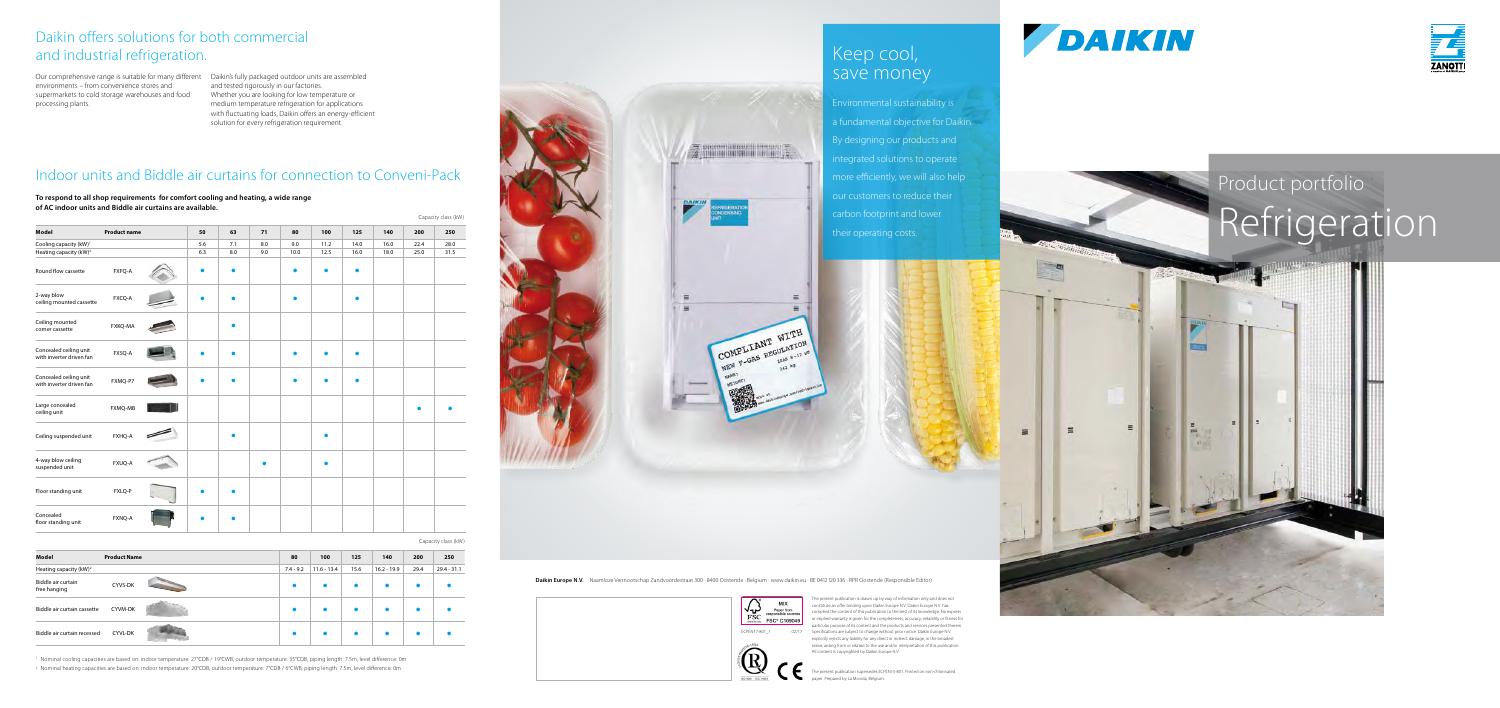# Product portfolio Refrigeration



 $\epsilon$ 

e present publication is drawn up by way of information only and does not nstitute an offer binding upon Daikin Europe N.V. Daikin Europe N.V. has mpiled the content of this publication to the best of its knowledge. No express or implied warranty is given for the completeness, accuracy, reliability or fitness for particular purpose of its content and the products and services presented therein. Specifications are subject to change without prior notice. Daikin Europe N.V. explicitly rejects any liability for any direct or indirect damage, in the broadest sense, arising from or related to the use and/or interpretation of this publication. All content is copyrighted by Daikin Europe N.V.

# Keep cool, save money

The present publication supersedes ECPEN15-801. Printed on non-chlorinated

paper. Prepared by La Movida, Belgium.





Environmental sustainability is a fundamental objective for Daikin. By designing our products and ntegrated solutions to operate more efficiently, we will also help our customers to reduce their carbon footprint and lower their operating costs.



 $=$ 



Our comprehensive range is suitable for many different Daikin's fully packaged outdoor units are assembled environments – from convenience stores and supermarkets to cold storage warehouses and food processing plants.

and tested rigorously in our factories. Whether you are looking for low temperature or medium temperature refrigeration for applications with fluctuating loads, Daikin offers an energy-efficient solution for every refrigeration requirement.

## Daikin offers solutions for both commercial and industrial refrigeration.

|                                    | Capacity class (kW) |  |             |               |      |               |           |               |  |  |
|------------------------------------|---------------------|--|-------------|---------------|------|---------------|-----------|---------------|--|--|
| Model                              | <b>Product Name</b> |  | 80          | 100           | 125  | 140           | 200       | 250           |  |  |
| Heating capacity (kW) <sup>2</sup> |                     |  | $7.4 - 9.2$ | $11.6 - 13.4$ | 15.6 | $16.2 - 19.9$ | 29.4      | $29.4 - 31.1$ |  |  |
| Biddle air curtain<br>free hanging | CYVS-DK             |  |             |               |      |               | $\bullet$ |               |  |  |
| Biddle air curtain cassette        | CYVM-DK             |  |             |               |      |               | $\bullet$ |               |  |  |
| Biddle air curtain recessed        | <b>CYVL-DK</b>      |  |             |               |      |               |           |               |  |  |

<sup>1</sup> Nominal cooling capacities are based on: indoor temperature: 27°CDB / 19°CWB, outdoor temperature: 35°CDB, piping length: 7.5m, level difference: 0m

2 Nominal heating capacities are based on: indoor temperature: 20°CDB, outdoor temperature: 7°CDB / 6°CWB, piping length: 7.5m, level difference: 0m



Daikin Europe N.V. Naamloze Vennootschap Zandvoordestraat 300 · 8400 Oostende · Belgium · www.daikin.eu · BE 0412 120 336 · RPR Oostende (Responsible Editor)

## Indoor units and Biddle air curtains for connection to Conveni-Pack

|                                                    |                     |           |     |     |      |           |           |      |      | Capacity class (kW) |
|----------------------------------------------------|---------------------|-----------|-----|-----|------|-----------|-----------|------|------|---------------------|
| Model                                              | <b>Product name</b> | 50        | 63  | 71  | 80   | 100       | 125       | 140  | 200  | 250                 |
| Cooling capacity (kW) <sup>1</sup>                 |                     | 5.6       | 7.1 | 8.0 | 9.0  | 11.2      | 14.0      | 16.0 | 22.4 | 28.0                |
| Heating capacity (kW) <sup>2</sup>                 |                     | 6.3       | 8.0 | 9.0 | 10.0 | 12.5      | 16.0      | 18.0 | 25.0 | 31.5                |
| Round flow cassette                                | FXFQ-A              | $\bullet$ |     |     |      | $\bullet$ | $\bullet$ |      |      |                     |
| 2-way blow<br>ceiling mounted cassette             | FXCQ-A              |           |     |     |      |           | ●         |      |      |                     |
| Ceiling mounted<br>corner cassette                 | FXKQ-MA             |           |     |     |      |           |           |      |      |                     |
| Concealed ceiling unit<br>with inverter driven fan | FXSQ-A              | $\bullet$ |     |     |      |           | $\bullet$ |      |      |                     |
| Concealed ceiling unit<br>with inverter driven fan | FXMQ-P7             | $\bullet$ |     |     |      |           | $\bullet$ |      |      |                     |
| Large concealed<br>ceiling unit                    | <b>FXMQ-MB</b>      |           |     |     |      |           |           |      |      |                     |
| Ceiling suspended unit                             | FXHQ-A              |           |     |     |      |           |           |      |      |                     |
| 4-way blow ceiling<br>suspended unit               | FXUQ-A              |           |     |     |      |           |           |      |      |                     |
| Floor standing unit                                | FXLQ-P              |           |     |     |      |           |           |      |      |                     |
| Concealed<br>floor standing unit                   | FXNQ-A              |           |     |     |      |           |           |      |      |                     |

**To respond to all shop requirements for comfort cooling and heating, a wide range of AC indoor units and Biddle air curtains are available.**